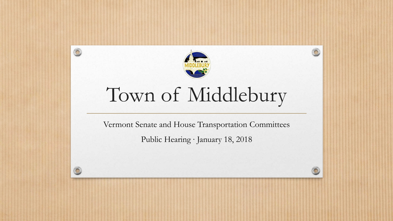

 $\bigcap$ 

 $\circledcirc$ 

# Town of Middlebury

Vermont Senate and House Transportation Committees

Public Hearing ∙ January 18, 2018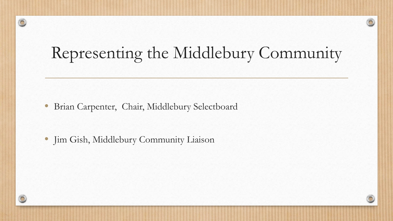## Representing the Middlebury Community

C

• Brian Carpenter, Chair, Middlebury Selectboard

• Jim Gish, Middlebury Community Liaison

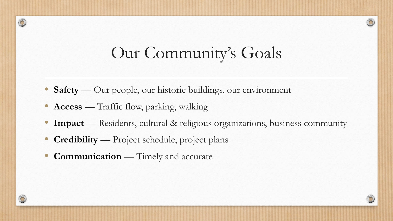#### Our Community's Goals

- **Safety** Our people, our historic buildings, our environment
- **Access** Traffic flow, parking, walking
- **Impact** Residents, cultural & religious organizations, business community
- **Credibility** Project schedule, project plans
- **Communication** Timely and accurate

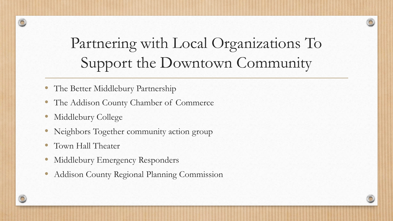### Partnering with Local Organizations To Support the Downtown Community

- The Better Middlebury Partnership
- The Addison County Chamber of Commerce
- Middlebury College
- Neighbors Together community action group
- Town Hall Theater
- Middlebury Emergency Responders
- Addison County Regional Planning Commission

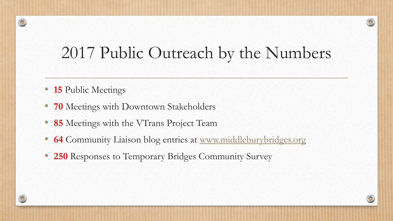### 2017 Public Outreach by the Numbers

- **15** Public Meetings
- **70** Meetings with Downtown Stakeholders
- **85** Meetings with the VTrans Project Team
- **64** Community Liaison blog entries at [www.middleburybridges.org](http://www.middleburybridges.org/)
- **250** Responses to Temporary Bridges Community Survey

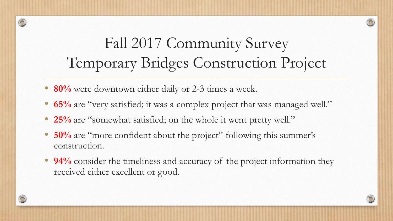### Fall 2017 Community Survey Temporary Bridges Construction Project

- **80%** were downtown either daily or 2-3 times a week.
- **65%** are "very satisfied; it was a complex project that was managed well."
- **25%** are "somewhat satisfied; on the whole it went pretty well."
- **50%** are "more confident about the project" following this summer's construction.
- **94%** consider the timeliness and accuracy of the project information they received either excellent or good.

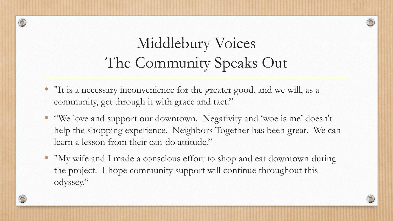### Middlebury Voices The Community Speaks Out

- "It is a necessary inconvenience for the greater good, and we will, as a community, get through it with grace and tact."
- "We love and support our downtown. Negativity and 'woe is me' doesn't help the shopping experience. Neighbors Together has been great. We can learn a lesson from their can-do attitude."
- "My wife and I made a conscious effort to shop and eat downtown during the project. I hope community support will continue throughout this odyssey."

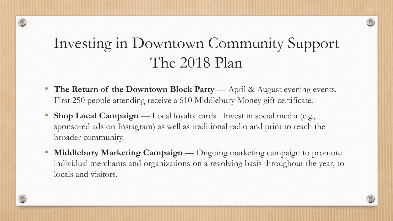#### Investing in Downtown Community Support The 2018 Plan

- **The Return of the Downtown Block Party** April & August evening events. First 250 people attending receive a \$10 Middlebury Money gift certificate.
- **Shop Local Campaign** Local loyalty cards. Invest in social media (e.g., sponsored ads on Instagram) as well as traditional radio and print to reach the broader community.
- **Middlebury Marketing Campaign** Ongoing marketing campaign to promote individual merchants and organizations on a revolving basis throughout the year, to locals and visitors.